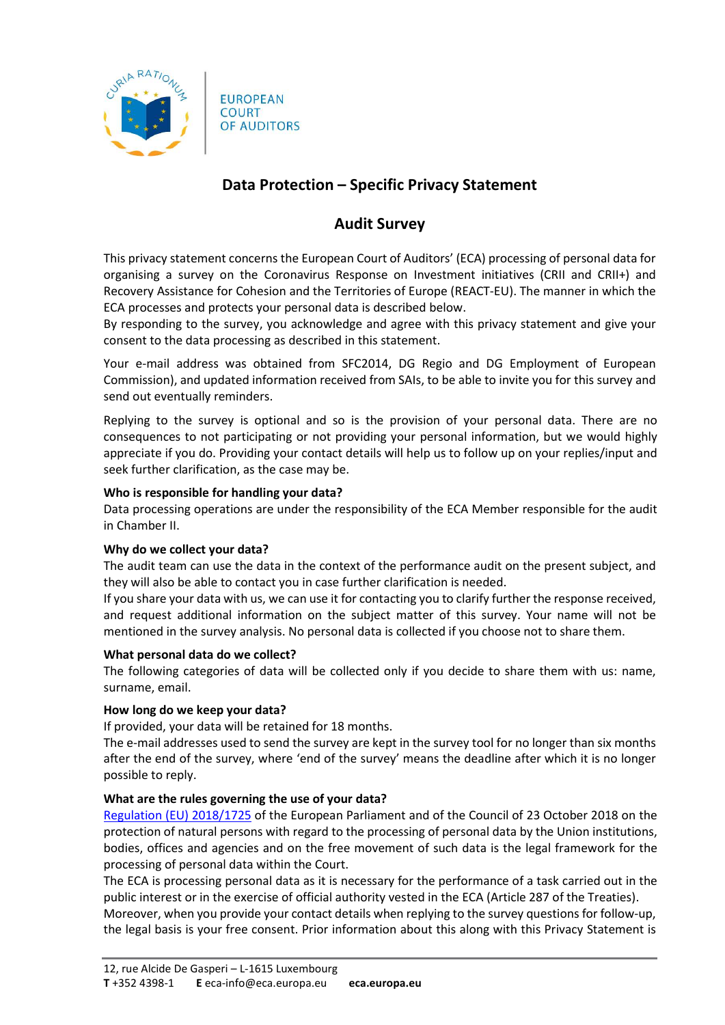

**EUROPEAN** COURT OF AUDITORS

# Data Protection – Specific Privacy Statement

## Audit Survey

This privacy statement concerns the European Court of Auditors' (ECA) processing of personal data for organising a survey on the Coronavirus Response on Investment initiatives (CRII and CRII+) and Recovery Assistance for Cohesion and the Territories of Europe (REACT-EU). The manner in which the ECA processes and protects your personal data is described below.

By responding to the survey, you acknowledge and agree with this privacy statement and give your consent to the data processing as described in this statement.

Your e-mail address was obtained from SFC2014, DG Regio and DG Employment of European Commission), and updated information received from SAIs, to be able to invite you for this survey and send out eventually reminders.

Replying to the survey is optional and so is the provision of your personal data. There are no consequences to not participating or not providing your personal information, but we would highly appreciate if you do. Providing your contact details will help us to follow up on your replies/input and seek further clarification, as the case may be.

## Who is responsible for handling your data?

Data processing operations are under the responsibility of the ECA Member responsible for the audit in Chamber II.

## Why do we collect your data?

The audit team can use the data in the context of the performance audit on the present subject, and they will also be able to contact you in case further clarification is needed.

If you share your data with us, we can use it for contacting you to clarify further the response received, and request additional information on the subject matter of this survey. Your name will not be mentioned in the survey analysis. No personal data is collected if you choose not to share them.

### What personal data do we collect?

The following categories of data will be collected only if you decide to share them with us: name, surname, email.

## How long do we keep your data?

If provided, your data will be retained for 18 months.

The e-mail addresses used to send the survey are kept in the survey tool for no longer than six months after the end of the survey, where 'end of the survey' means the deadline after which it is no longer possible to reply.

## What are the rules governing the use of your data?

Regulation (EU) 2018/1725 of the European Parliament and of the Council of 23 October 2018 on the protection of natural persons with regard to the processing of personal data by the Union institutions, bodies, offices and agencies and on the free movement of such data is the legal framework for the processing of personal data within the Court.

The ECA is processing personal data as it is necessary for the performance of a task carried out in the public interest or in the exercise of official authority vested in the ECA (Article 287 of the Treaties). Moreover, when you provide your contact details when replying to the survey questions for follow-up, the legal basis is your free consent. Prior information about this along with this Privacy Statement is